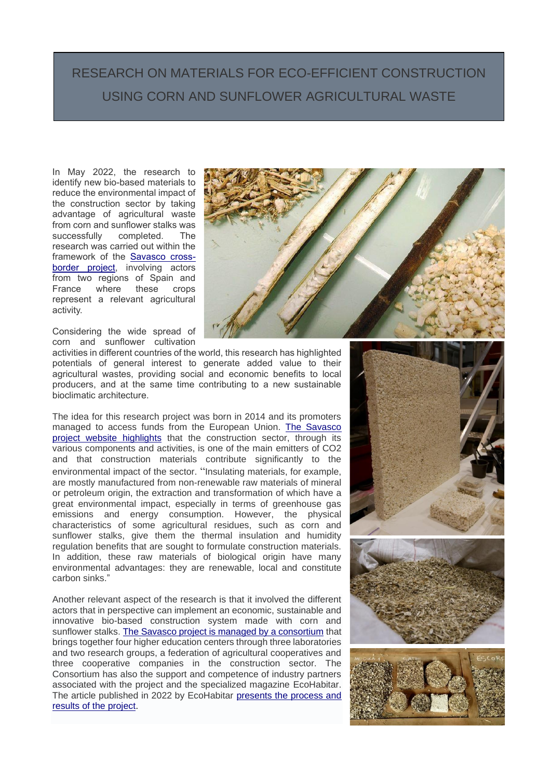## RESEARCH ON MATERIALS FOR ECO-EFFICIENT CONSTRUCTION USING CORN AND SUNFLOWER AGRICULTURAL WASTE

In May 2022, the research to identify new bio-based materials to reduce the environmental impact of the construction sector by taking advantage of agricultural waste from corn and sunflower stalks was successfully completed. The research was carried out within the framework of the [Savasco cross](https://www.savasco-poctefa.eu/en/home/)[border project,](https://www.savasco-poctefa.eu/en/home/) involving actors from two regions of Spain and France where these crops represent a relevant agricultural activity.

Considering the wide spread of corn and sunflower cultivation

activities in different countries of the world, this research has highlighted potentials of general interest to generate added value to their agricultural wastes, providing social and economic benefits to local producers, and at the same time contributing to a new sustainable bioclimatic architecture.

The idea for this research project was born in 2014 and its promoters managed to access funds from the European Union. [The Savasco](https://www.savasco-poctefa.eu/en/project-description/)  [project website highlights](https://www.savasco-poctefa.eu/en/project-description/) that the construction sector, through its various components and activities, is one of the main emitters of CO2 and that construction materials contribute significantly to the environmental impact of the sector. "Insulating materials, for example, are mostly manufactured from non-renewable raw materials of mineral or petroleum origin, the extraction and transformation of which have a great environmental impact, especially in terms of greenhouse gas emissions and energy consumption. However, the physical characteristics of some agricultural residues, such as corn and sunflower stalks, give them the thermal insulation and humidity regulation benefits that are sought to formulate construction materials. In addition, these raw materials of biological origin have many environmental advantages: they are renewable, local and constitute carbon sinks."

Another relevant aspect of the research is that it involved the different actors that in perspective can implement an economic, sustainable and innovative bio-based construction system made with corn and sunflower stalks. [The Savasco project is managed by a consortium](https://www.savasco-poctefa.eu/en/partners/) that brings together four higher education centers through three laboratories and two research groups, a federation of agricultural cooperatives and three cooperative companies in the construction sector. The Consortium has also the support and competence of industry partners associated with the project and the specialized magazine EcoHabitar. The article published in 2022 by EcoHabitar [presents the process and](https://ecohabitar.org/estructuracion-de-un-sector-de-valorizacion-transfronterizo-de-tallos-de-maiz-y-girasol-para-la-construccion/)  results [of the project.](https://ecohabitar.org/estructuracion-de-un-sector-de-valorizacion-transfronterizo-de-tallos-de-maiz-y-girasol-para-la-construccion/)



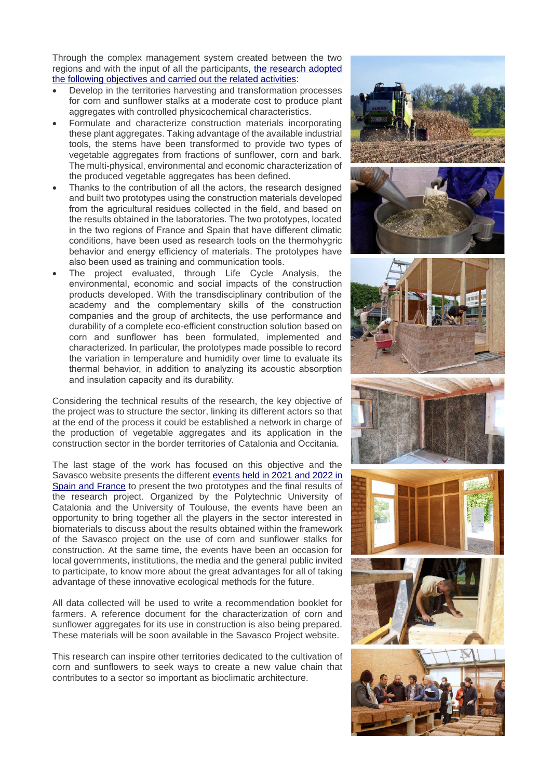Through the complex management system created between the two regions and with the input of all the participants, [the research adopted](https://www.savasco-poctefa.eu/en/project-description/)  [the following objectives and carried out the related activities:](https://www.savasco-poctefa.eu/en/project-description/)

- Develop in the territories harvesting and transformation processes for corn and sunflower stalks at a moderate cost to produce plant aggregates with controlled physicochemical characteristics.
- Formulate and characterize construction materials incorporating these plant aggregates. Taking advantage of the available industrial tools, the stems have been transformed to provide two types of vegetable aggregates from fractions of sunflower, corn and bark. The multi-physical, environmental and economic characterization of the produced vegetable aggregates has been defined.
- Thanks to the contribution of all the actors, the research designed and built two prototypes using the construction materials developed from the agricultural residues collected in the field, and based on the results obtained in the laboratories. The two prototypes, located in the two regions of France and Spain that have different climatic conditions, have been used as research tools on the thermohygric behavior and energy efficiency of materials. The prototypes have also been used as training and communication tools.
- The project evaluated, through Life Cycle Analysis, the environmental, economic and social impacts of the construction products developed. With the transdisciplinary contribution of the academy and the complementary skills of the construction companies and the group of architects, the use performance and durability of a complete eco-efficient construction solution based on corn and sunflower has been formulated, implemented and characterized. In particular, the prototypes made possible to record the variation in temperature and humidity over time to evaluate its thermal behavior, in addition to analyzing its acoustic absorption and insulation capacity and its durability.

Considering the technical results of the research, the key objective of the project was to structure the sector, linking its different actors so that at the end of the process it could be established a network in charge of the production of vegetable aggregates and its application in the construction sector in the border territories of Catalonia and Occitania.

The last stage of the work has focused on this objective and the Savasco website presents the different [events held in 2021 and 2022 in](https://www.savasco-poctefa.eu/en/events/)  [Spain and France](https://www.savasco-poctefa.eu/en/events/) to present the two prototypes and the final results of the research project. Organized by the Polytechnic University of Catalonia and the University of Toulouse, the events have been an opportunity to bring together all the players in the sector interested in biomaterials to discuss about the results obtained within the framework of the Savasco project on the use of corn and sunflower stalks for construction. At the same time, the events have been an occasion for local governments, institutions, the media and the general public invited to participate, to know more about the great advantages for all of taking advantage of these innovative ecological methods for the future.

All data collected will be used to write a recommendation booklet for farmers. A reference document for the characterization of corn and sunflower aggregates for its use in construction is also being prepared. These materials will be soon available in the Savasco Project website.

This research can inspire other territories dedicated to the cultivation of corn and sunflowers to seek ways to create a new value chain that contributes to a sector so important as bioclimatic architecture.